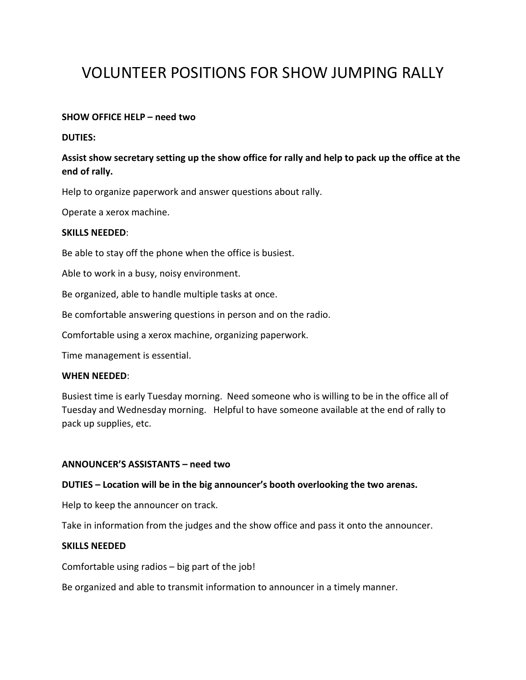# VOLUNTEER POSITIONS FOR SHOW JUMPING RALLY

## **SHOW OFFICE HELP – need two**

### **DUTIES:**

# **Assist show secretary setting up the show office for rally and help to pack up the office at the end of rally.**

Help to organize paperwork and answer questions about rally.

Operate a xerox machine.

## **SKILLS NEEDED**:

Be able to stay off the phone when the office is busiest.

Able to work in a busy, noisy environment.

Be organized, able to handle multiple tasks at once.

Be comfortable answering questions in person and on the radio.

Comfortable using a xerox machine, organizing paperwork.

Time management is essential.

#### **WHEN NEEDED**:

Busiest time is early Tuesday morning. Need someone who is willing to be in the office all of Tuesday and Wednesday morning. Helpful to have someone available at the end of rally to pack up supplies, etc.

#### **ANNOUNCER'S ASSISTANTS – need two**

#### **DUTIES – Location will be in the big announcer's booth overlooking the two arenas.**

Help to keep the announcer on track.

Take in information from the judges and the show office and pass it onto the announcer.

#### **SKILLS NEEDED**

Comfortable using radios – big part of the job!

Be organized and able to transmit information to announcer in a timely manner.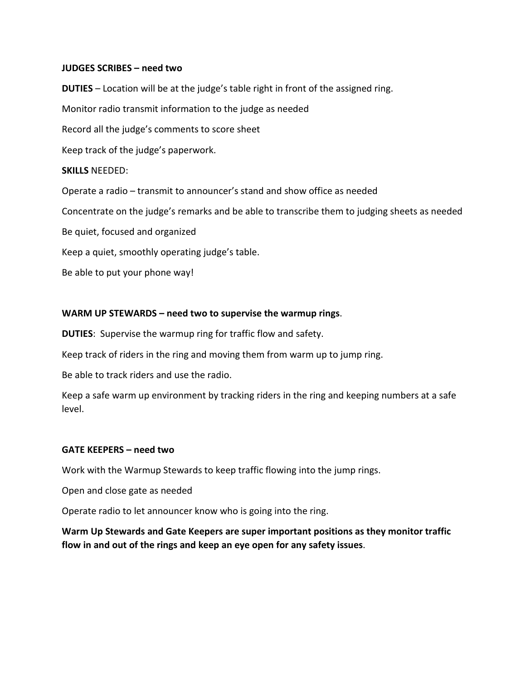## **JUDGES SCRIBES – need two**

**DUTIES** – Location will be at the judge's table right in front of the assigned ring. Monitor radio transmit information to the judge as needed Record all the judge's comments to score sheet Keep track of the judge's paperwork. **SKILLS** NEEDED: Operate a radio – transmit to announcer's stand and show office as needed Concentrate on the judge's remarks and be able to transcribe them to judging sheets as needed Be quiet, focused and organized Keep a quiet, smoothly operating judge's table. Be able to put your phone way!

# **WARM UP STEWARDS – need two to supervise the warmup rings**.

**DUTIES**: Supervise the warmup ring for traffic flow and safety.

Keep track of riders in the ring and moving them from warm up to jump ring.

Be able to track riders and use the radio.

Keep a safe warm up environment by tracking riders in the ring and keeping numbers at a safe level.

#### **GATE KEEPERS – need two**

Work with the Warmup Stewards to keep traffic flowing into the jump rings.

Open and close gate as needed

Operate radio to let announcer know who is going into the ring.

**Warm Up Stewards and Gate Keepers are super important positions as they monitor traffic flow in and out of the rings and keep an eye open for any safety issues**.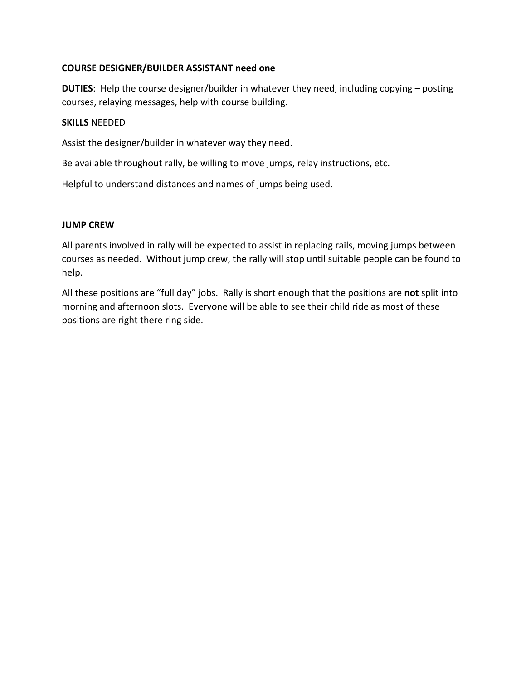# **COURSE DESIGNER/BUILDER ASSISTANT need one**

**DUTIES**: Help the course designer/builder in whatever they need, including copying – posting courses, relaying messages, help with course building.

## **SKILLS** NEEDED

Assist the designer/builder in whatever way they need.

Be available throughout rally, be willing to move jumps, relay instructions, etc.

Helpful to understand distances and names of jumps being used.

# **JUMP CREW**

All parents involved in rally will be expected to assist in replacing rails, moving jumps between courses as needed. Without jump crew, the rally will stop until suitable people can be found to help.

All these positions are "full day" jobs. Rally is short enough that the positions are **not** split into morning and afternoon slots. Everyone will be able to see their child ride as most of these positions are right there ring side.